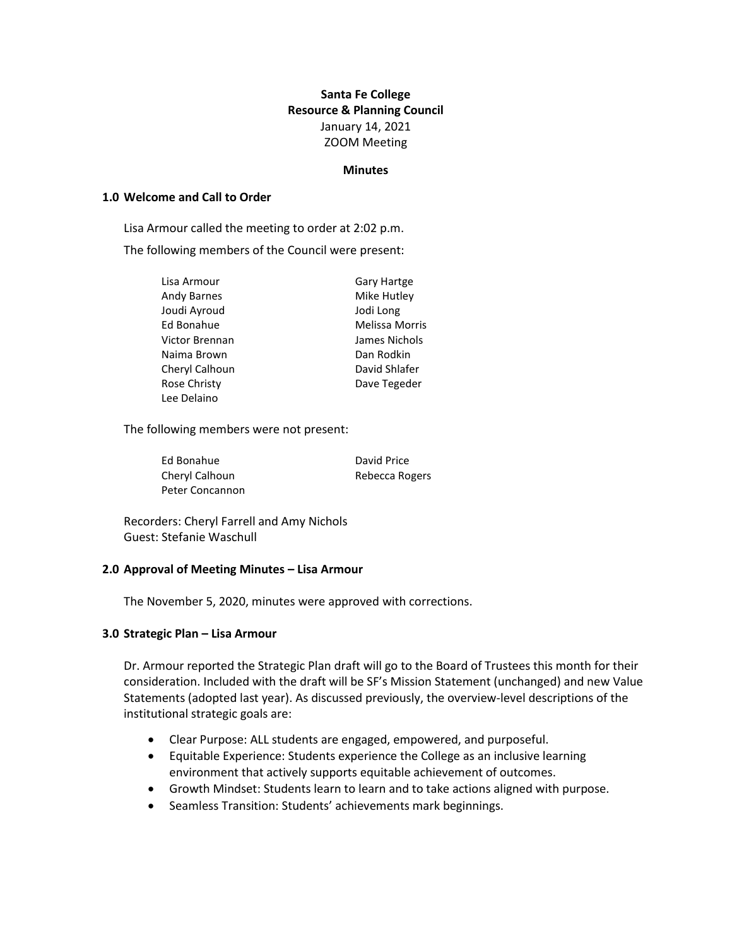# **Santa Fe College Resource & Planning Council** January 14, 2021 ZOOM Meeting

#### **Minutes**

#### **1.0 Welcome and Call to Order**

Lisa Armour called the meeting to order at 2:02 p.m.

The following members of the Council were present:

| <b>Gary Hartge</b> |
|--------------------|
| Mike Hutley        |
| Jodi Long          |
| Melissa Morris     |
| James Nichols      |
| Dan Rodkin         |
| David Shlafer      |
| Dave Tegeder       |
|                    |

The following members were not present:

Ed Bonahue David Price Cheryl Calhoun Rebecca Rogers Peter Concannon

Recorders: Cheryl Farrell and Amy Nichols Guest: Stefanie Waschull

## **2.0 Approval of Meeting Minutes – Lisa Armour**

The November 5, 2020, minutes were approved with corrections.

## **3.0 Strategic Plan – Lisa Armour**

Dr. Armour reported the Strategic Plan draft will go to the Board of Trustees this month for their consideration. Included with the draft will be SF's Mission Statement (unchanged) and new Value Statements (adopted last year). As discussed previously, the overview-level descriptions of the institutional strategic goals are:

- Clear Purpose: ALL students are engaged, empowered, and purposeful.
- Equitable Experience: Students experience the College as an inclusive learning environment that actively supports equitable achievement of outcomes.
- Growth Mindset: Students learn to learn and to take actions aligned with purpose.
- Seamless Transition: Students' achievements mark beginnings.